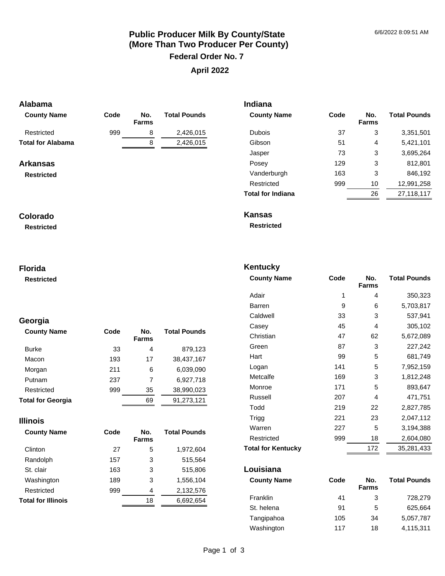# **Public Producer Milk By County/State (More Than Two Producer Per County) Federal Order No. 7 April 2022**

**Indiana** 

**Kentucky** 

## **Alabama**

| <b>County Name</b>       | Code | No.<br><b>Farms</b> | <b>Total Pounds</b> | <b>County Name</b>       | Code | No.<br><b>Farms</b> | <b>Total Pounds</b> |
|--------------------------|------|---------------------|---------------------|--------------------------|------|---------------------|---------------------|
| Restricted               | 999  | 8                   | 2,426,015           | <b>Dubois</b>            | 37   | 3                   | 3,351,501           |
| <b>Total for Alabama</b> |      | 8                   | 2,426,015           | Gibson                   | 51   | 4                   | 5,421,101           |
|                          |      |                     |                     | Jasper                   | 73   | 3                   | 3,695,264           |
| <b>Arkansas</b>          |      |                     |                     | Posey                    | 129  | 3                   | 812,801             |
| <b>Restricted</b>        |      |                     |                     | Vanderburgh              | 163  | 3                   | 846,192             |
|                          |      |                     |                     | Restricted               | 999  | 10                  | 12,991,258          |
|                          |      |                     |                     | <b>Total for Indiana</b> |      | 26                  | 27,118,117          |
| Colorado                 |      |                     |                     | <b>Kansas</b>            |      |                     |                     |
| <b>Restricted</b>        |      |                     |                     | <b>Restricted</b>        |      |                     |                     |

**Restricted**

## **Florida**

**Restricted**

## **Georgia**

| <b>County Name</b>       | Code | No.<br><b>Farms</b> | <b>Total Pounds</b> |
|--------------------------|------|---------------------|---------------------|
| <b>Burke</b>             | 33   | 4                   | 879,123             |
| Macon                    | 193  | 17                  | 38,437,167          |
| Morgan                   | 211  | 6                   | 6.039.090           |
| Putnam                   | 237  | 7                   | 6,927,718           |
| Restricted               | 999  | 35                  | 38,990,023          |
| <b>Total for Georgia</b> |      | 69                  | 91,273,121          |

### **Illinois**

| <b>County Name</b>        | Code | No.<br><b>Farms</b> | <b>Total Pounds</b> |
|---------------------------|------|---------------------|---------------------|
| Clinton                   | 27   | 5                   | 1,972,604           |
| Randolph                  | 157  | 3                   | 515.564             |
| St. clair                 | 163  | 3                   | 515,806             |
| Washington                | 189  | 3                   | 1,556,104           |
| Restricted                | 999  | 4                   | 2,132,576           |
| <b>Total for Illinois</b> |      | 18                  | 6,692,654           |

| <b>County Name</b> | Code | No.<br><b>Farms</b> | <b>Total Pounds</b> |
|--------------------|------|---------------------|---------------------|
| Adair              | 1    | 4                   | 350,323             |
| <b>Barren</b>      | 9    | 6                   | 5,703,817           |
| Caldwell           | 33   | 3                   | 537,941             |
| Casey              | 45   | 4                   | 305,102             |
| Christian          | 47   | 62                  | 5,672,089           |
| Green              | 87   | 3                   | 227,242             |
| Hart               | 99   | 5                   | 681,749             |
| Logan              | 141  | 5                   | 7,952,159           |
| Metcalfe           | 169  | 3                   | 1,812,248           |
| Monroe             | 171  | 5                   | 893,647             |
| Russell            | 207  | 4                   | 471,751             |
| Todd               | 219  | 22                  | 2,827,785           |
| Trigg              | 221  | 23                  | 2,047,112           |
| Warren             | 227  | 5                   | 3,194,388           |
| Restricted         | 999  | 18                  | 2,604,080           |
| Total for Kentucky |      | 172                 | 35,281,433          |

### **Louisiana**

| <b>County Name</b> | Code | No.<br><b>Farms</b> | <b>Total Pounds</b> |
|--------------------|------|---------------------|---------------------|
| Franklin           | 41   | 3                   | 728,279             |
| St. helena         | 91   | 5                   | 625.664             |
| Tangipahoa         | 105  | 34                  | 5,057,787           |
| Washington         | 117  | 18                  | 4,115,311           |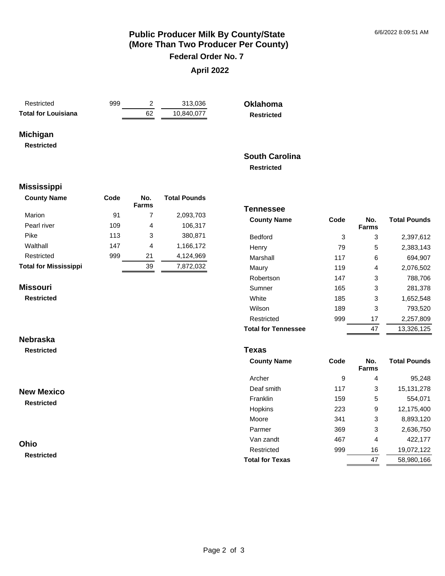**Total Pounds**

## **Public Producer Milk By County/State (More Than Two Producer Per County) Federal Order No. 7**

## **April 2022**

| Restricted                 |  |
|----------------------------|--|
| <b>Total for Louisiana</b> |  |

999 2 313,036 **Total for Louisiana** 62 10,840,077 **Oklahoma Restricted**

## **Michigan**

**Restricted**

## **South Carolina Restricted**

**Tennessee** 

#### **Mississippi**

| <b>County Name</b>           | Code | No.<br><b>Farms</b> | <b>Total Pounds</b> |
|------------------------------|------|---------------------|---------------------|
| Marion                       | 91   | 7                   | 2,093,703           |
| Pearl river                  | 109  | 4                   | 106.317             |
| Pike                         | 113  | 3                   | 380,871             |
| Walthall                     | 147  | 4                   | 1,166,172           |
| Restricted                   | 999  | 21                  | 4,124,969           |
| <b>Total for Mississippi</b> |      | 39                  | 7,872,032           |

#### **Missouri**

**Restricted**

## **Farms** Bedford 3 3 2,397,612 Henry 79 5 2,383,143 Marshall 117 6 694,907 Maury 119 4 2,076,502 Robertson 147 3 788,706 Sumner 165 3 281,378 White 185 3 1,652,548 Wilson 189 3 793,520 Restricted 999 17 2,257,809 **Total for Tennessee** 47 13,326,125

**County Name Code No.** 

## **Nebraska**

**Restricted**

## **New Mexico**

**Restricted**

### **Ohio**

**Restricted**

### **Texas**

| <b>County Name</b>     | Code | No.<br><b>Farms</b> | <b>Total Pounds</b> |
|------------------------|------|---------------------|---------------------|
| Archer                 | 9    | 4                   | 95,248              |
| Deaf smith             | 117  | 3                   | 15, 131, 278        |
| Franklin               | 159  | 5                   | 554.071             |
| Hopkins                | 223  | 9                   | 12,175,400          |
| Moore                  | 341  | 3                   | 8,893,120           |
| Parmer                 | 369  | 3                   | 2,636,750           |
| Van zandt              | 467  | 4                   | 422,177             |
| Restricted             | 999  | 16                  | 19,072,122          |
| <b>Total for Texas</b> |      | 47                  | 58,980,166          |